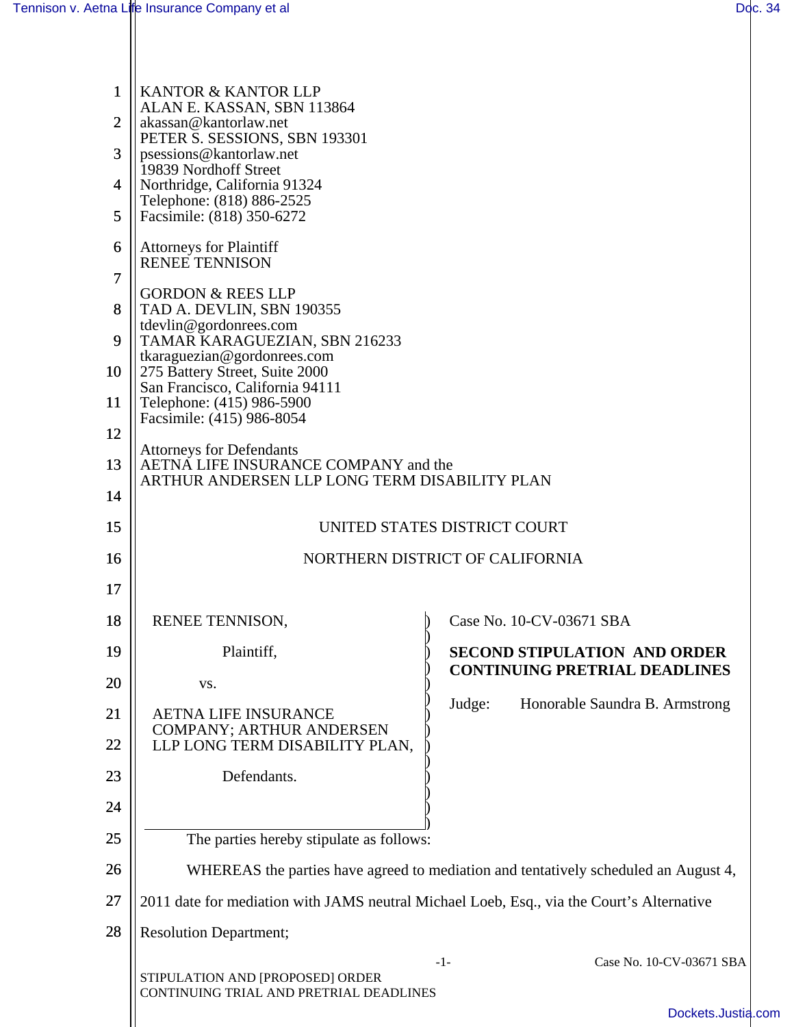Н

| $\mathbf{1}$   | KANTOR & KANTOR LLP                                                                                                           |        |                                      |  |
|----------------|-------------------------------------------------------------------------------------------------------------------------------|--------|--------------------------------------|--|
| $\overline{2}$ | ALAN E. KASSAN, SBN 113864<br>akassan@kantorlaw.net                                                                           |        |                                      |  |
| 3              | PETER S. SESSIONS, SBN 193301<br>psessions@kantorlaw.net                                                                      |        |                                      |  |
| 4              | 19839 Nordhoff Street<br>Northridge, California 91324                                                                         |        |                                      |  |
| 5              | Telephone: (818) 886-2525<br>Facsimile: (818) 350-6272                                                                        |        |                                      |  |
| 6              | <b>Attorneys for Plaintiff</b><br><b>RENEE TENNISON</b>                                                                       |        |                                      |  |
| 7              |                                                                                                                               |        |                                      |  |
| 8              | <b>GORDON &amp; REES LLP</b><br>TAD A. DEVLIN, SBN 190355                                                                     |        |                                      |  |
| 9              | tdevlin@gordonrees.com<br>TAMAR KARAGUEZIAN, SBN 216233                                                                       |        |                                      |  |
| 10             | tkaraguezian@gordonrees.com<br>275 Battery Street, Suite 2000<br>San Francisco, California 94111<br>Telephone: (415) 986-5900 |        |                                      |  |
| 11             |                                                                                                                               |        |                                      |  |
| 12             | Facsimile: (415) 986-8054<br><b>Attorneys for Defendants</b><br>AETNA LIFE INSURANCE COMPANY and the                          |        |                                      |  |
| 13             |                                                                                                                               |        |                                      |  |
| 14             | ARTHUR ANDERSEN LLP LONG TERM DISABILITY PLAN                                                                                 |        |                                      |  |
| 15             | UNITED STATES DISTRICT COURT                                                                                                  |        |                                      |  |
| 16             | NORTHERN DISTRICT OF CALIFORNIA                                                                                               |        |                                      |  |
| 17             |                                                                                                                               |        |                                      |  |
| 18             | RENEE TENNISON,                                                                                                               |        | Case No. 10-CV-03671 SBA             |  |
| 19             | Plaintiff,                                                                                                                    |        | <b>SECOND STIPULATION AND ORDER</b>  |  |
| 20             | VS.                                                                                                                           |        | <b>CONTINUING PRETRIAL DEADLINES</b> |  |
| 21             | <b>AETNA LIFE INSURANCE</b>                                                                                                   | Judge: | Honorable Saundra B. Armstrong       |  |
| 22             | <b>COMPANY; ARTHUR ANDERSEN</b><br>LLP LONG TERM DISABILITY PLAN,                                                             |        |                                      |  |
| 23             | Defendants.                                                                                                                   |        |                                      |  |
| 24             |                                                                                                                               |        |                                      |  |
| 25             | The parties hereby stipulate as follows:                                                                                      |        |                                      |  |
| 26             | WHEREAS the parties have agreed to mediation and tentatively scheduled an August 4,                                           |        |                                      |  |
| 27             | 2011 date for mediation with JAMS neutral Michael Loeb, Esq., via the Court's Alternative                                     |        |                                      |  |
| 28             | <b>Resolution Department;</b>                                                                                                 |        |                                      |  |
|                | STIPULATION AND [PROPOSED] ORDER                                                                                              | $-1-$  | Case No. 10-CV-03671 SBA             |  |
|                | CONTINUING TRIAL AND PRETRIAL DEADLINES                                                                                       |        |                                      |  |
|                |                                                                                                                               |        | Dockets.Justia.com                   |  |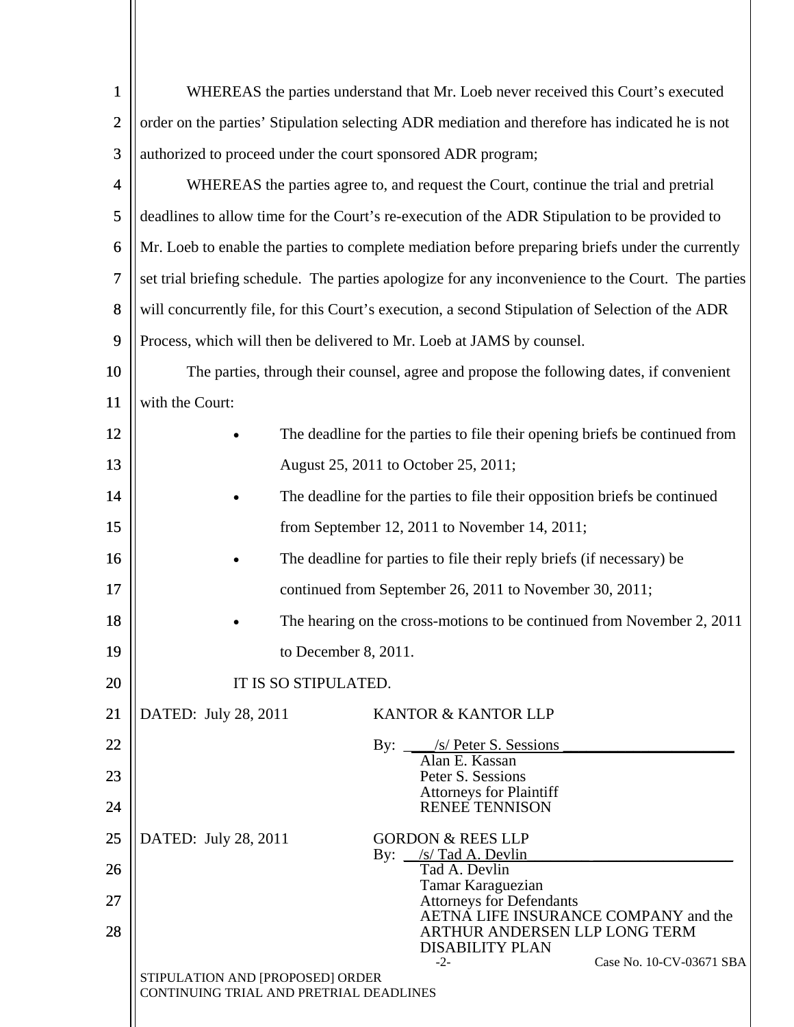| $\mathbf{1}$   | WHEREAS the parties understand that Mr. Loeb never received this Court's executed                  |                                                                                                  |  |  |
|----------------|----------------------------------------------------------------------------------------------------|--------------------------------------------------------------------------------------------------|--|--|
| $\overline{2}$ |                                                                                                    | order on the parties' Stipulation selecting ADR mediation and therefore has indicated he is not  |  |  |
| 3              | authorized to proceed under the court sponsored ADR program;                                       |                                                                                                  |  |  |
| 4              |                                                                                                    | WHEREAS the parties agree to, and request the Court, continue the trial and pretrial             |  |  |
| 5              |                                                                                                    | deadlines to allow time for the Court's re-execution of the ADR Stipulation to be provided to    |  |  |
| 6              | Mr. Loeb to enable the parties to complete mediation before preparing briefs under the currently   |                                                                                                  |  |  |
| $\overline{7}$ | set trial briefing schedule. The parties apologize for any inconvenience to the Court. The parties |                                                                                                  |  |  |
| 8              |                                                                                                    | will concurrently file, for this Court's execution, a second Stipulation of Selection of the ADR |  |  |
| 9              | Process, which will then be delivered to Mr. Loeb at JAMS by counsel.                              |                                                                                                  |  |  |
| 10             | The parties, through their counsel, agree and propose the following dates, if convenient           |                                                                                                  |  |  |
| 11             | with the Court:                                                                                    |                                                                                                  |  |  |
| 12             | The deadline for the parties to file their opening briefs be continued from                        |                                                                                                  |  |  |
| 13             | August 25, 2011 to October 25, 2011;                                                               |                                                                                                  |  |  |
| 14             |                                                                                                    | The deadline for the parties to file their opposition briefs be continued                        |  |  |
| 15             | from September 12, 2011 to November 14, 2011;                                                      |                                                                                                  |  |  |
| 16             | The deadline for parties to file their reply briefs (if necessary) be                              |                                                                                                  |  |  |
| 17             | continued from September 26, 2011 to November 30, 2011;                                            |                                                                                                  |  |  |
| 18             | The hearing on the cross-motions to be continued from November 2, 2011                             |                                                                                                  |  |  |
| 19             | to December 8, 2011.                                                                               |                                                                                                  |  |  |
| 20             | IT IS SO STIPULATED.                                                                               |                                                                                                  |  |  |
| 21             | DATED: July 28, 2011<br>KANTOR & KANTOR LLP                                                        |                                                                                                  |  |  |
| 22             | By: <u>/s/ Peter S. Sessions</u><br>Alan E. Kassan                                                 |                                                                                                  |  |  |
| 23             | Peter S. Sessions<br><b>Attorneys for Plaintiff</b>                                                |                                                                                                  |  |  |
| 24             | <b>RENEE TENNISON</b>                                                                              |                                                                                                  |  |  |
| 25             | <b>GORDON &amp; REES LLP</b><br>DATED: July 28, 2011<br>By: $\angle$ s/ Tad A. Devlin              |                                                                                                  |  |  |
| 26             | Tad A. Devlin<br>Tamar Karaguezian                                                                 |                                                                                                  |  |  |
| 27             | <b>Attorneys for Defendants</b><br>AETNA LIFE INSURANCE COMPANY and the                            |                                                                                                  |  |  |
| 28             | ARTHUR ANDERSEN LLP LONG TERM<br><b>DISABILITY PLAN</b>                                            |                                                                                                  |  |  |
|                | $-2-$<br>STIPULATION AND [PROPOSED] ORDER<br>CONTINUING TRIAL AND PRETRIAL DEADLINES               | Case No. 10-CV-03671 SBA                                                                         |  |  |